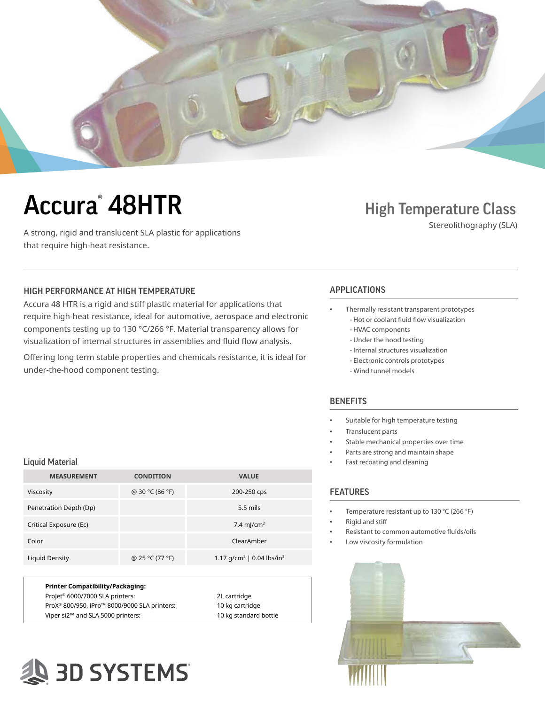

# **Accura<sup>®</sup>** 48HTR

A strong, rigid and translucent SLA plastic for applications that require high-heat resistance.

### **High Temperature Class**

Stereolithography (SLA)

### HIGH PERFORMANCE AT HIGH TEMPERATURE APPLICATIONS

Accura 48 HTR is a rigid and stiff plastic material for applications that require high-heat resistance, ideal for automotive, aerospace and electronic components testing up to 130 °C/266 °F. Material transparency allows for visualization of internal structures in assemblies and fluid flow analysis.

Offering long term stable properties and chemicals resistance, it is ideal for under-the-hood component testing.

- Thermally resistant transparent prototypes - Hot or coolant fluid flow visualization
	- HVAC components
	- Under the hood testing
	- Internal structures visualization
	- Electronic controls prototypes
	- Wind tunnel models

#### **BENEFITS**

- Suitable for high temperature testing
- Translucent parts
- Stable mechanical properties over time
- Parts are strong and maintain shape
- Fast recoating and cleaning

#### FEATURES

- Temperature resistant up to 130 °C (266 °F)
- Rigid and stiff
- Resistant to common automotive fluids/oils
- Low viscosity formulation



#### Liquid Material

| <b>MEASUREMENT</b>     | <b>CONDITION</b> | <b>VALUE</b>                             |
|------------------------|------------------|------------------------------------------|
| Viscosity              | @ 30 °C (86 °F)  | 200-250 cps                              |
| Penetration Depth (Dp) |                  | $5.5$ mils                               |
| Critical Exposure (Ec) |                  | 7.4 m/cm <sup>2</sup>                    |
| Color                  |                  | ClearAmber                               |
| Liquid Density         | @ 25 °C (77 °F)  | 1.17 $q/cm^3$   0.04 lbs/in <sup>3</sup> |

| Printer Compatibility/Packaging:                         |                       |
|----------------------------------------------------------|-----------------------|
| Projet <sup>®</sup> 6000/7000 SLA printers:              | 2L cartridge          |
| ProX <sup>®</sup> 800/950, iPro™ 8000/9000 SLA printers: | 10 kg cartridge       |
| Viper si2™ and SLA 5000 printers:                        | 10 kg standard bottle |
|                                                          |                       |